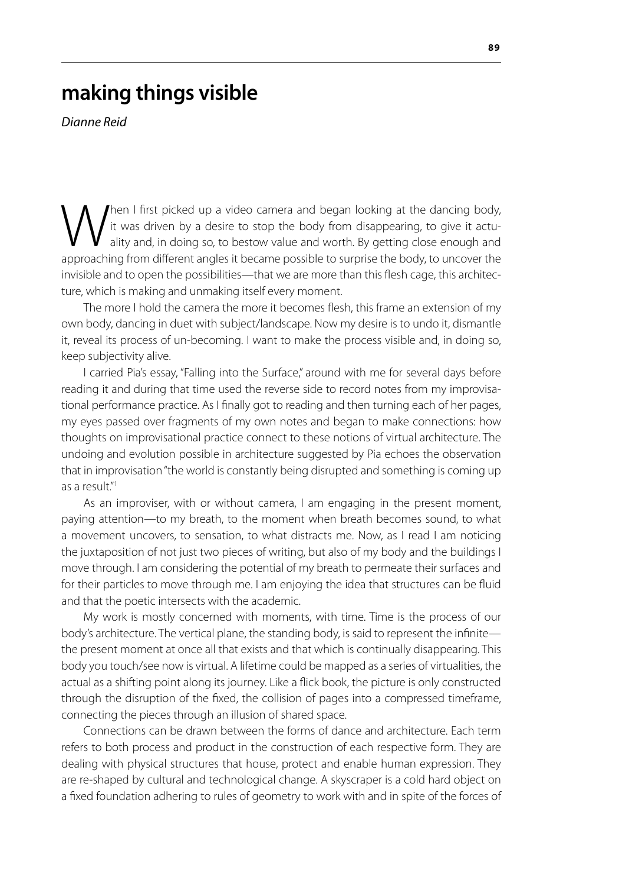# **making things visible**

*Dianne Reid*

When I first picked up a video camera and began looking at the dancing body,<br>it was driven by a desire to stop the body from disappearing, to give it actu-<br>ality and, in doing so, to bestow value and worth. By getting clos it was driven by a desire to stop the body from disappearing, to give it actuality and, in doing so, to bestow value and worth. By getting close enough and approaching from different angles it became possible to surprise the body, to uncover the invisible and to open the possibilities—that we are more than this flesh cage, this architecture, which is making and unmaking itself every moment.

The more I hold the camera the more it becomes flesh, this frame an extension of my own body, dancing in duet with subject/landscape. Now my desire is to undo it, dismantle it, reveal its process of un-becoming. I want to make the process visible and, in doing so, keep subjectivity alive.

I carried Pia's essay, "Falling into the Surface," around with me for several days before reading it and during that time used the reverse side to record notes from my improvisational performance practice. As I finally got to reading and then turning each of her pages, my eyes passed over fragments of my own notes and began to make connections: how thoughts on improvisational practice connect to these notions of virtual architecture. The undoing and evolution possible in architecture suggested by Pia echoes the observation that in improvisation "the world is constantly being disrupted and something is coming up as a result."1

As an improviser, with or without camera, I am engaging in the present moment, paying attention—to my breath, to the moment when breath becomes sound, to what a movement uncovers, to sensation, to what distracts me. Now, as I read I am noticing the juxtaposition of not just two pieces of writing, but also of my body and the buildings I move through. I am considering the potential of my breath to permeate their surfaces and for their particles to move through me. I am enjoying the idea that structures can be fluid and that the poetic intersects with the academic.

My work is mostly concerned with moments, with time. Time is the process of our body's architecture. The vertical plane, the standing body, is said to represent the infinite the present moment at once all that exists and that which is continually disappearing. This body you touch/see now is virtual. A lifetime could be mapped as a series of virtualities, the actual as a shifting point along its journey. Like a flick book, the picture is only constructed through the disruption of the fixed, the collision of pages into a compressed timeframe, connecting the pieces through an illusion of shared space.

Connections can be drawn between the forms of dance and architecture. Each term refers to both process and product in the construction of each respective form. They are dealing with physical structures that house, protect and enable human expression. They are re-shaped by cultural and technological change. A skyscraper is a cold hard object on a fixed foundation adhering to rules of geometry to work with and in spite of the forces of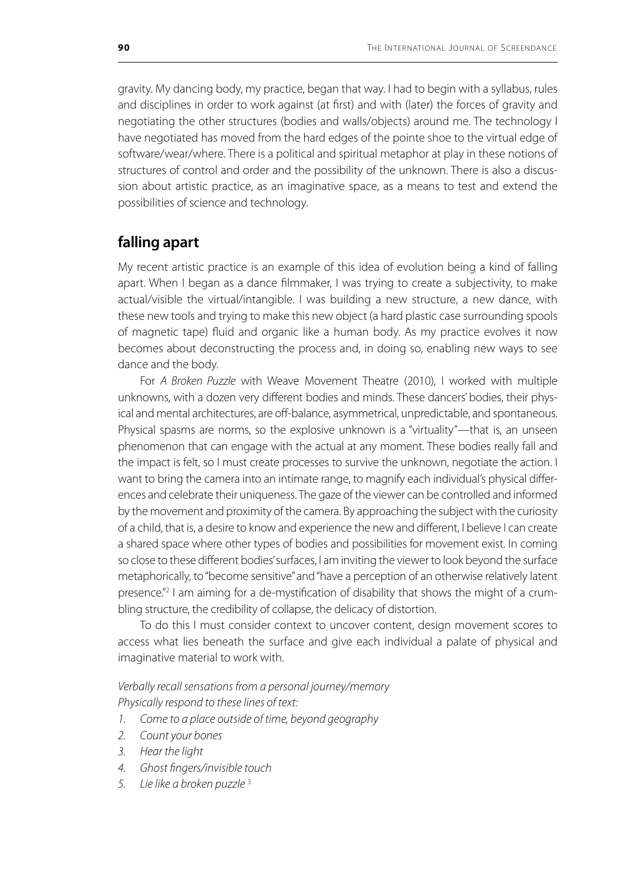gravity. My dancing body, my practice, began that way. I had to begin with a syllabus, rules and disciplines in order to work against (at first) and with (later) the forces of gravity and negotiating the other structures (bodies and walls/objects) around me. The technology I have negotiated has moved from the hard edges of the pointe shoe to the virtual edge of software/wear/where. There is a political and spiritual metaphor at play in these notions of structures of control and order and the possibility of the unknown. There is also a discussion about artistic practice, as an imaginative space, as a means to test and extend the possibilities of science and technology.

## **falling apart**

My recent artistic practice is an example of this idea of evolution being a kind of falling apart. When I began as a dance filmmaker, I was trying to create a subjectivity, to make actual/visible the virtual/intangible. I was building a new structure, a new dance, with these new tools and trying to make this new object (a hard plastic case surrounding spools of magnetic tape) fluid and organic like a human body. As my practice evolves it now becomes about deconstructing the process and, in doing so, enabling new ways to see dance and the body.

For *A Broken Puzzle* with Weave Movement Theatre (2010), I worked with multiple unknowns, with a dozen very different bodies and minds. These dancers' bodies, their physical and mental architectures, are off-balance, asymmetrical, unpredictable, and spontaneous. Physical spasms are norms, so the explosive unknown is a "virtuality"—that is, an unseen phenomenon that can engage with the actual at any moment. These bodies really fall and the impact is felt, so I must create processes to survive the unknown, negotiate the action. I want to bring the camera into an intimate range, to magnify each individual's physical differences and celebrate their uniqueness. The gaze of the viewer can be controlled and informed by the movement and proximity of the camera. By approaching the subject with the curiosity of a child, that is, a desire to know and experience the new and different, I believe I can create a shared space where other types of bodies and possibilities for movement exist. In coming so close to these different bodies' surfaces, I am inviting the viewer to look beyond the surface metaphorically, to "become sensitive" and "have a perception of an otherwise relatively latent presence."<sup>2</sup> I am aiming for a de-mystification of disability that shows the might of a crumbling structure, the credibility of collapse, the delicacy of distortion.

To do this I must consider context to uncover content, design movement scores to access what lies beneath the surface and give each individual a palate of physical and imaginative material to work with.

*Verbally recall sensations from a personal journey/memory Physically respond to these lines of text:*

- *1. Come to a place outside of time, beyond geography*
- *2. Count your bones*
- *3. Hear the light*
- *4. Ghost fingers/invisible touch*
- *5. Lie like a broken puzzle* <sup>3</sup>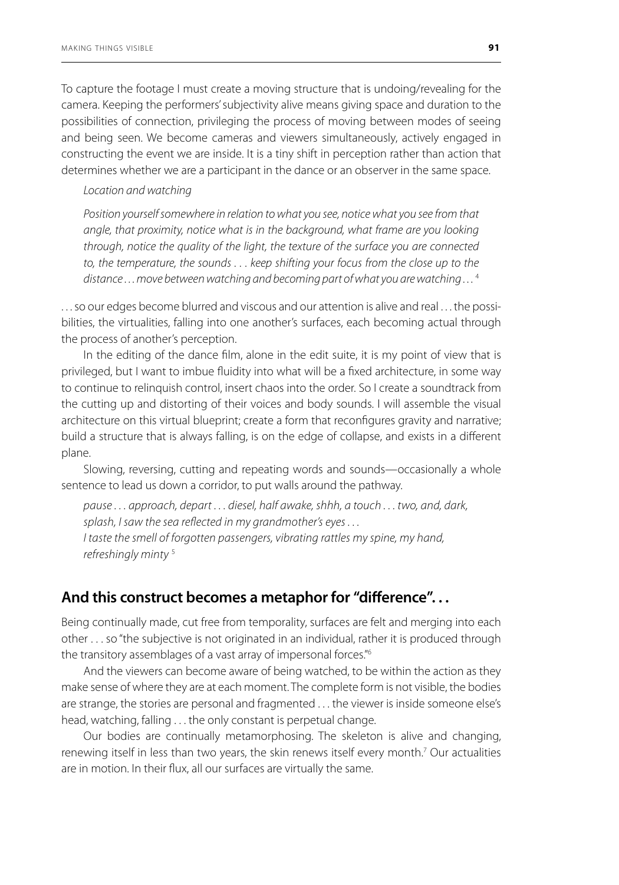To capture the footage I must create a moving structure that is undoing/revealing for the camera. Keeping the performers' subjectivity alive means giving space and duration to the possibilities of connection, privileging the process of moving between modes of seeing and being seen. We become cameras and viewers simultaneously, actively engaged in constructing the event we are inside. It is a tiny shift in perception rather than action that determines whether we are a participant in the dance or an observer in the same space.

### *Location and watching*

*Position yourself somewhere in relation to what you see, notice what you see from that angle, that proximity, notice what is in the background, what frame are you looking through, notice the quality of the light, the texture of the surface you are connected to, the temperature, the sounds . . . keep shifting your focus from the close up to the distance . . . move between watching and becoming part of what you are watching . . .* <sup>4</sup>

. . . so our edges become blurred and viscous and our attention is alive and real . . . the possibilities, the virtualities, falling into one another's surfaces, each becoming actual through the process of another's perception.

In the editing of the dance film, alone in the edit suite, it is my point of view that is privileged, but I want to imbue fluidity into what will be a fixed architecture, in some way to continue to relinquish control, insert chaos into the order. So I create a soundtrack from the cutting up and distorting of their voices and body sounds. I will assemble the visual architecture on this virtual blueprint; create a form that reconfigures gravity and narrative; build a structure that is always falling, is on the edge of collapse, and exists in a different plane.

Slowing, reversing, cutting and repeating words and sounds—occasionally a whole sentence to lead us down a corridor, to put walls around the pathway.

*pause . . . approach, depart . . . diesel, half awake, shhh, a touch . . . two, and, dark, splash, I saw the sea reflected in my grandmother's eyes . . . I taste the smell of forgotten passengers, vibrating rattles my spine, my hand, refreshingly minty* <sup>5</sup>

## **And this construct becomes a metaphor for "difference". . .**

Being continually made, cut free from temporality, surfaces are felt and merging into each other . . . so "the subjective is not originated in an individual, rather it is produced through the transitory assemblages of a vast array of impersonal forces."6

And the viewers can become aware of being watched, to be within the action as they make sense of where they are at each moment. The complete form is not visible, the bodies are strange, the stories are personal and fragmented . . . the viewer is inside someone else's head, watching, falling . . . the only constant is perpetual change.

Our bodies are continually metamorphosing. The skeleton is alive and changing, renewing itself in less than two years, the skin renews itself every month.<sup>7</sup> Our actualities are in motion. In their flux, all our surfaces are virtually the same.